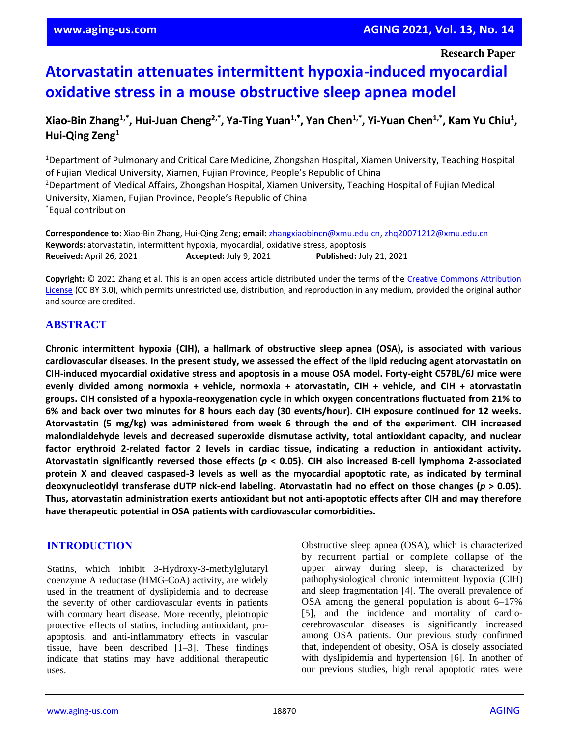# **Atorvastatin attenuates intermittent hypoxia-induced myocardial oxidative stress in a mouse obstructive sleep apnea model**

# **Xiao-Bin Zhang1,\* , Hui-Juan Cheng2,\* , Ya-Ting Yuan1,\* , Yan Chen1,\* , Yi-Yuan Chen1,\* , Kam Yu Chiu<sup>1</sup> , Hui-Qing Zeng<sup>1</sup>**

<sup>1</sup>Department of Pulmonary and Critical Care Medicine, Zhongshan Hospital, Xiamen University, Teaching Hospital of Fujian Medical University, Xiamen, Fujian Province, People's Republic of China <sup>2</sup>Department of Medical Affairs, Zhongshan Hospital, Xiamen University, Teaching Hospital of Fujian Medical University, Xiamen, Fujian Province, People's Republic of China \*Equal contribution

**Correspondence to:** Xiao-Bin Zhang, Hui-Qing Zeng; **email:** [zhangxiaobincn@xmu.edu.cn,](mailto:zhangxiaobincn@xmu.edu.cn) [zhq20071212@xmu.edu.cn](mailto:zhq20071212@xmu.edu.cn) **Keywords:** atorvastatin, intermittent hypoxia, myocardial, oxidative stress, apoptosis **Received:** April 26, 2021 **Accepted:** July 9, 2021 **Published:** July 21, 2021

**Copyright:** © 2021 Zhang et al. This is an open access article distributed under the terms of the [Creative Commons Attribution](https://creativecommons.org/licenses/by/3.0/)  [License](https://creativecommons.org/licenses/by/3.0/) (CC BY 3.0), which permits unrestricted use, distribution, and reproduction in any medium, provided the original author and source are credited.

# **ABSTRACT**

**Chronic intermittent hypoxia (CIH), a hallmark of obstructive sleep apnea (OSA), is associated with various** cardiovascular diseases. In the present study, we assessed the effect of the lipid reducing agent atorvastatin on **CIH-induced myocardial oxidative stress and apoptosis in a mouse OSA model. Forty-eight C57BL/6J mice were evenly divided among normoxia + vehicle, normoxia + atorvastatin, CIH + vehicle, and CIH + atorvastatin groups. CIH consisted of a hypoxia-reoxygenation cycle in which oxygen concentrations fluctuated from 21% to** 6% and back over two minutes for 8 hours each day (30 events/hour). CIH exposure continued for 12 weeks. **Atorvastatin (5 mg/kg) was administered from week 6 through the end of the experiment. CIH increased malondialdehyde levels and decreased superoxide dismutase activity, total antioxidant capacity, and nuclear factor erythroid 2-related factor 2 levels in cardiac tissue, indicating a reduction in antioxidant activity. Atorvastatin significantly reversed those effects (***p* **< 0.05). CIH also increased B-cell lymphoma 2-associated** protein X and cleaved caspased-3 levels as well as the myocardial apoptotic rate, as indicated by terminal **deoxynucleotidyl transferase dUTP nick-end labeling. Atorvastatin had no effect on those changes (***p* **> 0.05). Thus, atorvastatin administration exerts antioxidant but not anti-apoptotic effects after CIH and may therefore have therapeutic potential in OSA patients with cardiovascular comorbidities.**

# **INTRODUCTION**

Statins, which inhibit 3-Hydroxy-3-methylglutaryl coenzyme A reductase (HMG-CoA) activity, are widely used in the treatment of dyslipidemia and to decrease the severity of other cardiovascular events in patients with coronary heart disease. More recently, pleiotropic protective effects of statins, including antioxidant, proapoptosis, and anti-inflammatory effects in vascular tissue, have been described [1–3]. These findings indicate that statins may have additional therapeutic uses.

Obstructive sleep apnea (OSA), which is characterized by recurrent partial or complete collapse of the upper airway during sleep, is characterized by pathophysiological chronic intermittent hypoxia (CIH) and sleep fragmentation [4]. The overall prevalence of OSA among the general population is about 6–17% [5], and the incidence and mortality of cardiocerebrovascular diseases is significantly increased among OSA patients. Our previous study confirmed that, independent of obesity, OSA is closely associated with dyslipidemia and hypertension [6]. In another of our previous studies, high renal apoptotic rates were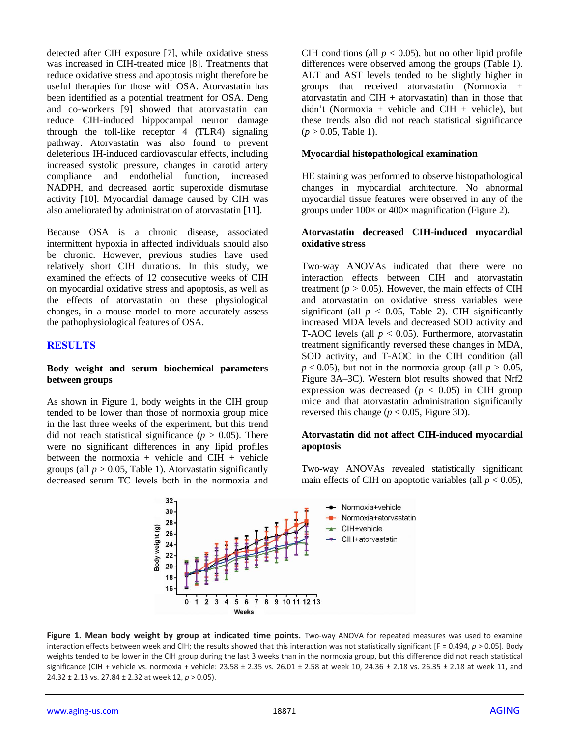detected after CIH exposure [7], while oxidative stress was increased in CIH-treated mice [8]. Treatments that reduce oxidative stress and apoptosis might therefore be useful therapies for those with OSA. Atorvastatin has been identified as a potential treatment for OSA. Deng and co-workers [9] showed that atorvastatin can reduce CIH-induced hippocampal neuron damage through the toll-like receptor 4 (TLR4) signaling pathway. Atorvastatin was also found to prevent deleterious IH-induced cardiovascular effects, including increased systolic pressure, changes in carotid artery compliance and endothelial function, increased NADPH, and decreased aortic superoxide dismutase activity [10]. Myocardial damage caused by CIH was also ameliorated by administration of atorvastatin [11].

Because OSA is a chronic disease, associated intermittent hypoxia in affected individuals should also be chronic. However, previous studies have used relatively short CIH durations. In this study, we examined the effects of 12 consecutive weeks of CIH on myocardial oxidative stress and apoptosis, as well as the effects of atorvastatin on these physiological changes, in a mouse model to more accurately assess the pathophysiological features of OSA.

# **RESULTS**

#### **Body weight and serum biochemical parameters between groups**

As shown in Figure 1, body weights in the CIH group tended to be lower than those of normoxia group mice in the last three weeks of the experiment, but this trend did not reach statistical significance ( $p > 0.05$ ). There were no significant differences in any lipid profiles between the normoxia + vehicle and  $CIH$  + vehicle groups (all  $p > 0.05$ , Table 1). Atorvastatin significantly decreased serum TC levels both in the normoxia and CIH conditions (all  $p < 0.05$ ), but no other lipid profile differences were observed among the groups (Table 1). ALT and AST levels tended to be slightly higher in groups that received atorvastatin (Normoxia + atorvastatin and  $CH +$  atorvastatin) than in those that didn't (Normoxia + vehicle and CIH + vehicle), but these trends also did not reach statistical significance  $(p > 0.05,$  Table 1).

#### **Myocardial histopathological examination**

HE staining was performed to observe histopathological changes in myocardial architecture. No abnormal myocardial tissue features were observed in any of the groups under  $100 \times$  or  $400 \times$  magnification (Figure 2).

#### **Atorvastatin decreased CIH-induced myocardial oxidative stress**

Two-way ANOVAs indicated that there were no interaction effects between CIH and atorvastatin treatment ( $p > 0.05$ ). However, the main effects of CIH and atorvastatin on oxidative stress variables were significant (all  $p < 0.05$ , Table 2). CIH significantly increased MDA levels and decreased SOD activity and T-AOC levels (all  $p < 0.05$ ). Furthermore, atorvastatin treatment significantly reversed these changes in MDA, SOD activity, and T-AOC in the CIH condition (all  $p < 0.05$ ), but not in the normoxia group (all  $p > 0.05$ , Figure 3A–3C). Western blot results showed that Nrf2 expression was decreased ( $p < 0.05$ ) in CIH group mice and that atorvastatin administration significantly reversed this change ( $p < 0.05$ , Figure 3D).

#### **Atorvastatin did not affect CIH-induced myocardial apoptosis**

Two-way ANOVAs revealed statistically significant main effects of CIH on apoptotic variables (all  $p < 0.05$ ),



Figure 1. Mean body weight by group at indicated time points. Two-way ANOVA for repeated measures was used to examine interaction effects between week and CIH; the results showed that this interaction was not statistically significant [F = 0.494, *p* > 0.05]. Body weights tended to be lower in the CIH group during the last 3 weeks than in the normoxia group, but this difference did not reach statistical significance (CIH + vehicle vs. normoxia + vehicle: 23.58 ± 2.35 vs. 26.01 ± 2.58 at week 10, 24.36 ± 2.18 vs. 26.35 ± 2.18 at week 11, and 24.32 ± 2.13 vs. 27.84 ± 2.32 at week 12, *p* > 0.05).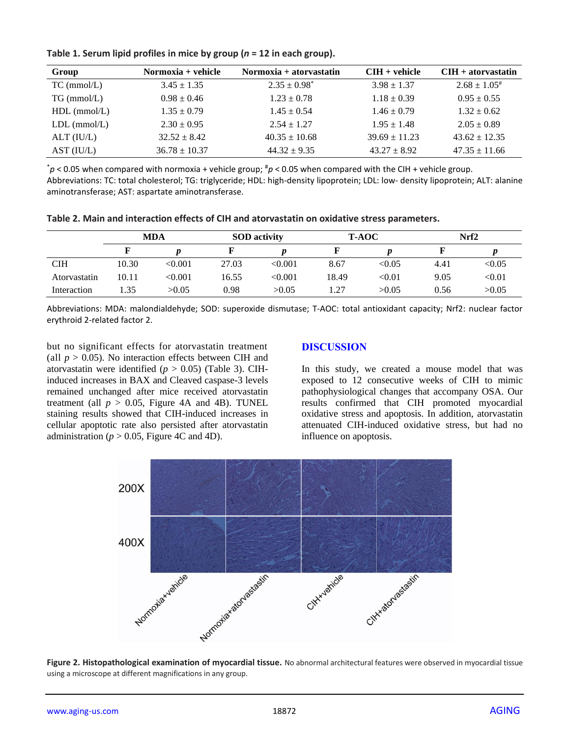| Group              | Normoxia + vehicle | Normoxia + atorvastatin | $CHH + vehicle$   | $CIH +$ atorvastatin |  |  |  |
|--------------------|--------------------|-------------------------|-------------------|----------------------|--|--|--|
| $TC \, (mmol/L)$   | $3.45 \pm 1.35$    | $2.35 \pm 0.98^*$       | $3.98 \pm 1.37$   | $2.68 \pm 1.05^*$    |  |  |  |
| $TG \, (mmol/L)$   | $0.98 \pm 0.46$    | $1.23 \pm 0.78$         | $1.18 \pm 0.39$   | $0.95 \pm 0.55$      |  |  |  |
| $HDL$ (mmol/L)     | $1.35 \pm 0.79$    | $1.45 \pm 0.54$         | $1.46 \pm 0.79$   | $1.32 \pm 0.62$      |  |  |  |
| $LDL$ (mmol/ $L$ ) | $2.30 \pm 0.95$    | $2.54 \pm 1.27$         | $1.95 \pm 1.48$   | $2.05 \pm 0.89$      |  |  |  |
| $ALT$ ( $IU/L$ )   | $32.52 \pm 8.42$   | $40.35 \pm 10.68$       | $39.69 \pm 11.23$ | $43.62 \pm 12.35$    |  |  |  |
| AST (IU/L)         | $36.78 \pm 10.37$  | $44.32 \pm 9.35$        | $43.27 \pm 8.92$  | $47.35 \pm 11.66$    |  |  |  |

**Table 1. Serum lipid profiles in mice by group (***n* **= 12 in each group).**

\**p* < 0.05 when compared with normoxia + vehicle group; #*p* < 0.05 when compared with the CIH + vehicle group. Abbreviations: TC: total cholesterol; TG: triglyceride; HDL: high-density lipoprotein; LDL: low- density lipoprotein; ALT: alanine aminotransferase; AST: aspartate aminotransferase.

| Table 2. Main and interaction effects of CIH and atorvastatin on oxidative stress parameters. |  |
|-----------------------------------------------------------------------------------------------|--|
|-----------------------------------------------------------------------------------------------|--|

|              | MDA   |         | <b>SOD</b> activity |         | <b>T-AOC</b> |               | Nrf2 |        |
|--------------|-------|---------|---------------------|---------|--------------|---------------|------|--------|
|              |       |         |                     |         |              |               |      |        |
| <b>CIH</b>   | 10.30 | < 0.001 | 27.03               | < 0.001 | 8.67         | < 0.05        | 4.41 | < 0.05 |
| Atorvastatin | 10.11 | < 0.001 | 16.55               | < 0.001 | 18.49        | $< \!\! 0.01$ | 9.05 | < 0.01 |
| Interaction  | l.35  | >0.05   | 0.98                | >0.05   | l.27         | >0.05         | 0.56 | >0.05  |

Abbreviations: MDA: malondialdehyde; SOD: superoxide dismutase; T-AOC: total antioxidant capacity; Nrf2: nuclear factor erythroid 2-related factor 2.

but no significant effects for atorvastatin treatment (all  $p > 0.05$ ). No interaction effects between CIH and atorvastatin were identified ( $p > 0.05$ ) (Table 3). CIHinduced increases in BAX and Cleaved caspase-3 levels remained unchanged after mice received atorvastatin treatment (all  $p > 0.05$ , Figure 4A and 4B). TUNEL staining results showed that CIH-induced increases in cellular apoptotic rate also persisted after atorvastatin administration ( $p > 0.05$ , Figure 4C and 4D).

# **DISCUSSION**

In this study, we created a mouse model that was exposed to 12 consecutive weeks of CIH to mimic pathophysiological changes that accompany OSA. Our results confirmed that CIH promoted myocardial oxidative stress and apoptosis. In addition, atorvastatin attenuated CIH-induced oxidative stress, but had no influence on apoptosis.



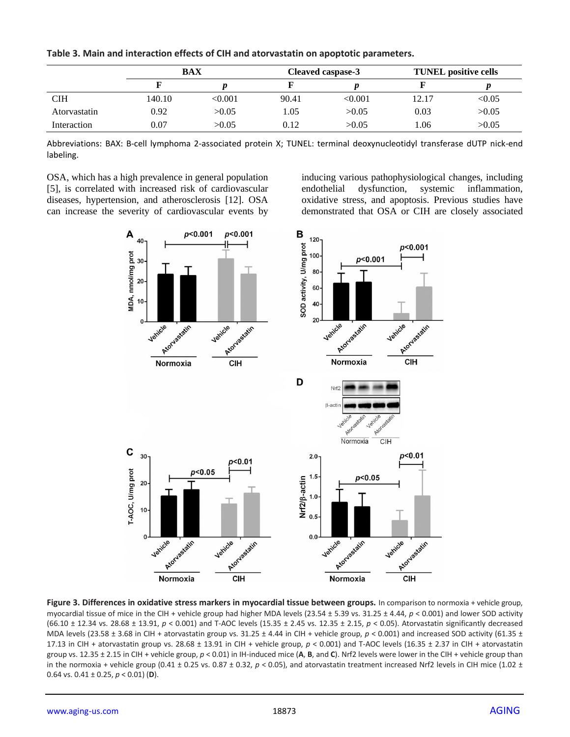**Table 3. Main and interaction effects of CIH and atorvastatin on apoptotic parameters.**

|              | <b>BAX</b> |         | Cleaved caspase-3 |         | <b>TUNEL</b> positive cells |        |
|--------------|------------|---------|-------------------|---------|-----------------------------|--------|
|              |            |         |                   |         |                             |        |
| <b>CIH</b>   | 140.10-    | < 0.001 | 90.41             | < 0.001 | 12.17                       | < 0.05 |
| Atorvastatin | 0.92       | >0.05   | 1.05              | >0.05   | 0.03                        | >0.05  |
| Interaction  | 0.07       | >0.05   | 0.12              | >0.05   | .06                         | >0.05  |

Abbreviations: BAX: B-cell lymphoma 2-associated protein X; TUNEL: terminal deoxynucleotidyl transferase dUTP nick-end labeling.

OSA, which has a high prevalence in general population [5], is correlated with increased risk of cardiovascular diseases, hypertension, and atherosclerosis [12]. OSA can increase the severity of cardiovascular events by

inducing various pathophysiological changes, including endothelial dysfunction, systemic inflammation, oxidative stress, and apoptosis. Previous studies have demonstrated that OSA or CIH are closely associated



**Figure 3. Differences in oxidative stress markers in myocardial tissue between groups.** In comparison to normoxia + vehicle group, myocardial tissue of mice in the CIH + vehicle group had higher MDA levels (23.54 ± 5.39 vs. 31.25 ± 4.44, *p* < 0.001) and lower SOD activity (66.10 ± 12.34 vs. 28.68 ± 13.91, *p* < 0.001) and T-AOC levels (15.35 ± 2.45 vs. 12.35 ± 2.15, *p* < 0.05). Atorvastatin significantly decreased MDA levels (23.58 ± 3.68 in CIH + atorvastatin group vs. 31.25 ± 4.44 in CIH + vehicle group,  $p < 0.001$ ) and increased SOD activity (61.35 ± 17.13 in CIH + atorvastatin group vs. 28.68 ± 13.91 in CIH + vehicle group, *p* < 0.001) and T-AOC levels (16.35 ± 2.37 in CIH + atorvastatin group vs. 12.35 ± 2.15 in CIH + vehicle group, *p* < 0.01) in IH-induced mice (**A**, **B**, and **C**). Nrf2 levels were lower in the CIH + vehicle group than in the normoxia + vehicle group (0.41 ± 0.25 vs. 0.87 ± 0.32,  $p < 0.05$ ), and atorvastatin treatment increased Nrf2 levels in CIH mice (1.02 ± 0.64 vs. 0.41 ± 0.25, *p* < 0.01) (**D**).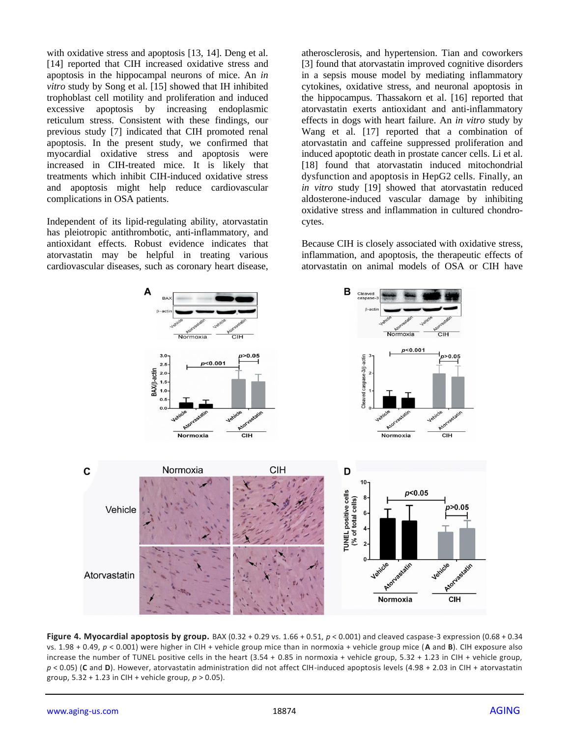with oxidative stress and apoptosis [13, 14]. Deng et al. [14] reported that CIH increased oxidative stress and apoptosis in the hippocampal neurons of mice. An *in vitro* study by Song et al. [15] showed that IH inhibited trophoblast cell motility and proliferation and induced excessive apoptosis by increasing endoplasmic reticulum stress. Consistent with these findings, our previous study [7] indicated that CIH promoted renal apoptosis. In the present study, we confirmed that myocardial oxidative stress and apoptosis were increased in CIH-treated mice. It is likely that treatments which inhibit CIH-induced oxidative stress and apoptosis might help reduce cardiovascular complications in OSA patients.

Independent of its lipid-regulating ability, atorvastatin has pleiotropic antithrombotic, anti-inflammatory, and antioxidant effects. Robust evidence indicates that atorvastatin may be helpful in treating various cardiovascular diseases, such as coronary heart disease, atherosclerosis, and hypertension. Tian and coworkers [3] found that atorvastatin improved cognitive disorders in a sepsis mouse model by mediating inflammatory cytokines, oxidative stress, and neuronal apoptosis in the hippocampus. Thassakorn et al. [16] reported that atorvastatin exerts antioxidant and anti-inflammatory effects in dogs with heart failure. An *in vitro* study by Wang et al. [17] reported that a combination of atorvastatin and caffeine suppressed proliferation and induced apoptotic death in prostate cancer cells. Li et al. [18] found that atorvastatin induced mitochondrial dysfunction and apoptosis in HepG2 cells. Finally, an *in vitro* study [19] showed that atorvastatin reduced aldosterone-induced vascular damage by inhibiting oxidative stress and inflammation in cultured chondrocytes.

Because CIH is closely associated with oxidative stress, inflammation, and apoptosis, the therapeutic effects of atorvastatin on animal models of OSA or CIH have



**Figure 4. Myocardial apoptosis by group.** BAX (0.32 + 0.29 vs.  $1.66 + 0.51$ ,  $p < 0.001$ ) and cleaved caspase-3 expression (0.68 + 0.34 vs. 1.98 + 0.49, *p* < 0.001) were higher in CIH + vehicle group mice than in normoxia + vehicle group mice (**A** and **B**). CIH exposure also increase the number of TUNEL positive cells in the heart (3.54 + 0.85 in normoxia + vehicle group, 5.32 + 1.23 in CIH + vehicle group, *p* < 0.05) (**C** and **D**). However, atorvastatin administration did not affect CIH-induced apoptosis levels (4.98 + 2.03 in CIH + atorvastatin group, 5.32 + 1.23 in CIH + vehicle group, *p* > 0.05).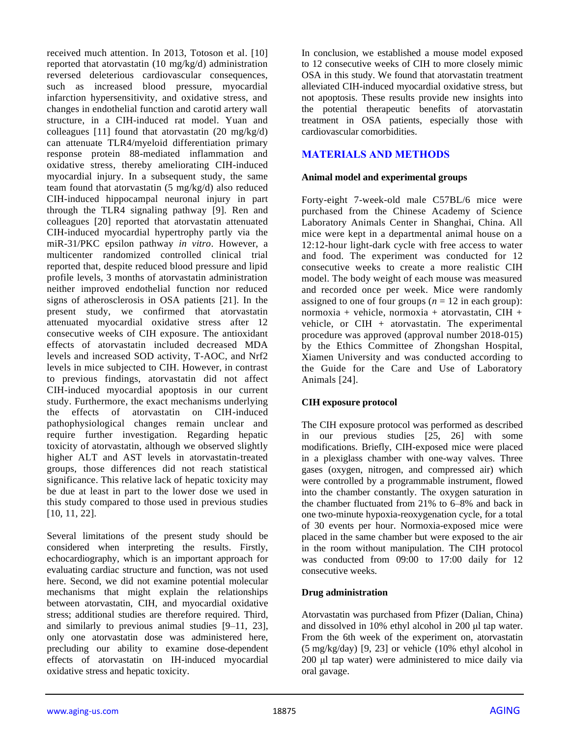received much attention. In 2013, Totoson et al. [10] reported that atorvastatin (10 mg/kg/d) administration reversed deleterious cardiovascular consequences, such as increased blood pressure, myocardial infarction hypersensitivity, and oxidative stress, and changes in endothelial function and carotid artery wall structure, in a CIH-induced rat model. Yuan and colleagues [11] found that atorvastatin  $(20 \text{ mg/kg/d})$ can attenuate TLR4/myeloid differentiation primary response protein 88-mediated inflammation and oxidative stress, thereby ameliorating CIH-induced myocardial injury. In a subsequent study, the same team found that atorvastatin (5 mg/kg/d) also reduced CIH-induced hippocampal neuronal injury in part through the TLR4 signaling pathway [9]. Ren and colleagues [20] reported that atorvastatin attenuated CIH-induced myocardial hypertrophy partly via the miR-31/PKC epsilon pathway *in vitro*. However, a multicenter randomized controlled clinical trial reported that, despite reduced blood pressure and lipid profile levels, 3 months of atorvastatin administration neither improved endothelial function nor reduced signs of atherosclerosis in OSA patients [21]. In the present study, we confirmed that atorvastatin attenuated myocardial oxidative stress after 12 consecutive weeks of CIH exposure. The antioxidant effects of atorvastatin included decreased MDA levels and increased SOD activity, T-AOC, and Nrf2 levels in mice subjected to CIH. However, in contrast to previous findings, atorvastatin did not affect CIH-induced myocardial apoptosis in our current study. Furthermore, the exact mechanisms underlying the effects of atorvastatin on CIH-induced pathophysiological changes remain unclear and require further investigation. Regarding hepatic toxicity of atorvastatin, although we observed slightly higher ALT and AST levels in atorvastatin-treated groups, those differences did not reach statistical significance. This relative lack of hepatic toxicity may be due at least in part to the lower dose we used in this study compared to those used in previous studies [10, 11, 22].

Several limitations of the present study should be considered when interpreting the results. Firstly, echocardiography, which is an important approach for evaluating cardiac structure and function, was not used here. Second, we did not examine potential molecular mechanisms that might explain the relationships between atorvastatin, CIH, and myocardial oxidative stress; additional studies are therefore required. Third, and similarly to previous animal studies [9–11, 23], only one atorvastatin dose was administered here, precluding our ability to examine dose-dependent effects of atorvastatin on IH-induced myocardial oxidative stress and hepatic toxicity.

In conclusion, we established a mouse model exposed to 12 consecutive weeks of CIH to more closely mimic OSA in this study. We found that atorvastatin treatment alleviated CIH-induced myocardial oxidative stress, but not apoptosis. These results provide new insights into the potential therapeutic benefits of atorvastatin treatment in OSA patients, especially those with cardiovascular comorbidities.

# **MATERIALS AND METHODS**

#### **Animal model and experimental groups**

Forty-eight 7-week-old male C57BL/6 mice were purchased from the Chinese Academy of Science Laboratory Animals Center in Shanghai, China. All mice were kept in a departmental animal house on a 12:12-hour light-dark cycle with free access to water and food. The experiment was conducted for 12 consecutive weeks to create a more realistic CIH model. The body weight of each mouse was measured and recorded once per week. Mice were randomly assigned to one of four groups ( $n = 12$  in each group): normoxia + vehicle, normoxia + atorvastatin, CIH + vehicle, or CIH + atorvastatin. The experimental procedure was approved (approval number 2018-015) by the Ethics Committee of Zhongshan Hospital, Xiamen University and was conducted according to the Guide for the Care and Use of Laboratory Animals [24].

# **CIH exposure protocol**

The CIH exposure protocol was performed as described in our previous studies [25, 26] with some modifications. Briefly, CIH-exposed mice were placed in a plexiglass chamber with one-way valves. Three gases (oxygen, nitrogen, and compressed air) which were controlled by a programmable instrument, flowed into the chamber constantly. The oxygen saturation in the chamber fluctuated from 21% to 6–8% and back in one two-minute hypoxia-reoxygenation cycle, for a total of 30 events per hour. Normoxia-exposed mice were placed in the same chamber but were exposed to the air in the room without manipulation. The CIH protocol was conducted from 09:00 to 17:00 daily for 12 consecutive weeks.

#### **Drug administration**

Atorvastatin was purchased from Pfizer (Dalian, China) and dissolved in 10% ethyl alcohol in 200 μl tap water. From the 6th week of the experiment on, atorvastatin (5 mg/kg/day) [9, 23] or vehicle (10% ethyl alcohol in 200 μl tap water) were administered to mice daily via oral gavage.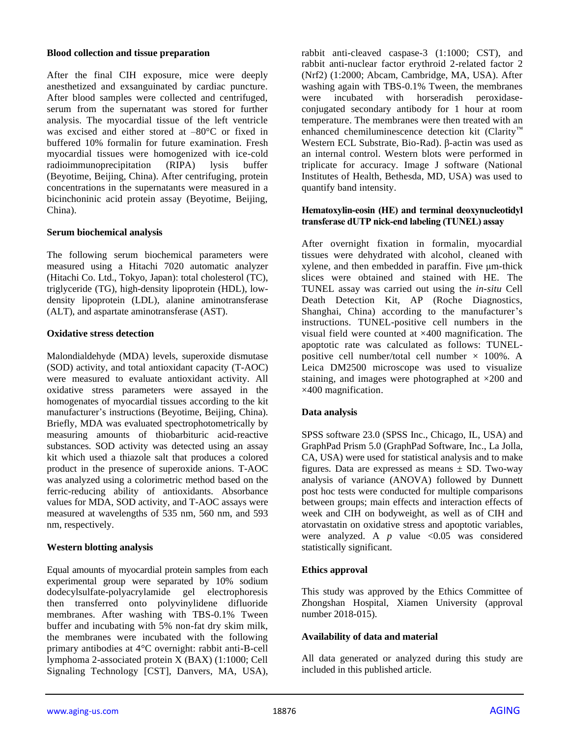#### **Blood collection and tissue preparation**

After the final CIH exposure, mice were deeply anesthetized and exsanguinated by cardiac puncture. After blood samples were collected and centrifuged, serum from the supernatant was stored for further analysis. The myocardial tissue of the left ventricle was excised and either stored at –80°C or fixed in buffered 10% formalin for future examination. Fresh myocardial tissues were homogenized with ice-cold radioimmunoprecipitation (RIPA) lysis buffer (Beyotime, Beijing, China). After centrifuging, protein concentrations in the supernatants were measured in a bicinchoninic acid protein assay (Beyotime, Beijing, China).

## **Serum biochemical analysis**

The following serum biochemical parameters were measured using a Hitachi 7020 automatic analyzer (Hitachi Co. Ltd., Tokyo, Japan): total cholesterol (TC), triglyceride (TG), high-density lipoprotein (HDL), lowdensity lipoprotein (LDL), alanine aminotransferase (ALT), and aspartate aminotransferase (AST).

## **Oxidative stress detection**

Malondialdehyde (MDA) levels, superoxide dismutase (SOD) activity, and total antioxidant capacity (T-AOC) were measured to evaluate antioxidant activity. All oxidative stress parameters were assayed in the homogenates of myocardial tissues according to the kit manufacturer's instructions (Beyotime, Beijing, China). Briefly, MDA was evaluated spectrophotometrically by measuring amounts of thiobarbituric acid-reactive substances. SOD activity was detected using an assay kit which used a thiazole salt that produces a colored product in the presence of superoxide anions. T-AOC was analyzed using a colorimetric method based on the ferric-reducing ability of antioxidants. Absorbance values for MDA, SOD activity, and T-AOC assays were measured at wavelengths of 535 nm, 560 nm, and 593 nm, respectively.

## **Western blotting analysis**

Equal amounts of myocardial protein samples from each experimental group were separated by 10% sodium dodecylsulfate-polyacrylamide gel electrophoresis then transferred onto polyvinylidene difluoride membranes. After washing with TBS-0.1% Tween buffer and incubating with 5% non-fat dry skim milk, the membranes were incubated with the following primary antibodies at 4°C overnight: rabbit anti-B-cell lymphoma 2-associated protein X (BAX) (1:1000; Cell Signaling Technology [CST], Danvers, MA, USA), rabbit anti-cleaved caspase-3 (1:1000; CST), and rabbit anti-nuclear factor erythroid 2-related factor 2 (Nrf2) (1:2000; Abcam, Cambridge, MA, USA). After washing again with TBS-0.1% Tween, the membranes were incubated with horseradish peroxidaseconjugated secondary antibody for 1 hour at room temperature. The membranes were then treated with an enhanced chemiluminescence detection kit (Clarity™ Western ECL Substrate, Bio-Rad). β-actin was used as an internal control. Western blots were performed in triplicate for accuracy. Image J software (National Institutes of Health, Bethesda, MD, USA) was used to quantify band intensity.

#### **Hematoxylin-eosin (HE) and terminal deoxynucleotidyl transferase dUTP nick-end labeling (TUNEL) assay**

After overnight fixation in formalin, myocardial tissues were dehydrated with alcohol, cleaned with xylene, and then embedded in paraffin. Five μm-thick slices were obtained and stained with HE. The TUNEL assay was carried out using the *in-situ* Cell Death Detection Kit, AP (Roche Diagnostics, Shanghai, China) according to the manufacturer's instructions. TUNEL-positive cell numbers in the visual field were counted at ×400 magnification. The apoptotic rate was calculated as follows: TUNELpositive cell number/total cell number  $\times$  100%. A Leica DM2500 microscope was used to visualize staining, and images were photographed at  $\times 200$  and ×400 magnification.

## **Data analysis**

SPSS software 23.0 (SPSS Inc., Chicago, IL, USA) and GraphPad Prism 5.0 (GraphPad Software, Inc., La Jolla, CA, USA) were used for statistical analysis and to make figures. Data are expressed as means  $\pm$  SD. Two-way analysis of variance (ANOVA) followed by Dunnett post hoc tests were conducted for multiple comparisons between groups; main effects and interaction effects of week and CIH on bodyweight, as well as of CIH and atorvastatin on oxidative stress and apoptotic variables, were analyzed. A  $p$  value <0.05 was considered statistically significant.

## **Ethics approval**

This study was approved by the Ethics Committee of Zhongshan Hospital, Xiamen University (approval number 2018-015).

## **Availability of data and material**

All data generated or analyzed during this study are included in this published article.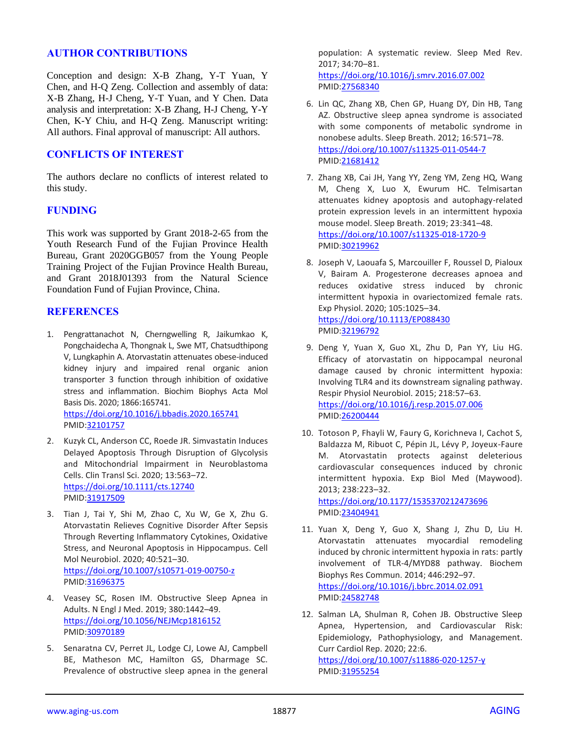## **AUTHOR CONTRIBUTIONS**

Conception and design: X-B Zhang, Y-T Yuan, Y Chen, and H-Q Zeng. Collection and assembly of data: X-B Zhang, H-J Cheng, Y-T Yuan, and Y Chen. Data analysis and interpretation: X-B Zhang, H-J Cheng, Y-Y Chen, K-Y Chiu, and H-Q Zeng. Manuscript writing: All authors. Final approval of manuscript: All authors.

# **CONFLICTS OF INTEREST**

The authors declare no conflicts of interest related to this study.

## **FUNDING**

This work was supported by Grant 2018-2-65 from the Youth Research Fund of the Fujian Province Health Bureau, Grant 2020GGB057 from the Young People Training Project of the Fujian Province Health Bureau, and Grant 2018J01393 from the Natural Science Foundation Fund of Fujian Province, China.

# **REFERENCES**

- 1. Pengrattanachot N, Cherngwelling R, Jaikumkao K, Pongchaidecha A, Thongnak L, Swe MT, Chatsudthipong V, Lungkaphin A. Atorvastatin attenuates obese-induced kidney injury and impaired renal organic anion transporter 3 function through inhibition of oxidative stress and inflammation. Biochim Biophys Acta Mol Basis Dis. 2020; 1866:165741. <https://doi.org/10.1016/j.bbadis.2020.165741> PMID[:32101757](https://pubmed.ncbi.nlm.nih.gov/32101757)
- 2. Kuzyk CL, Anderson CC, Roede JR. Simvastatin Induces Delayed Apoptosis Through Disruption of Glycolysis and Mitochondrial Impairment in Neuroblastoma Cells. Clin Transl Sci. 2020; 13:563–72. <https://doi.org/10.1111/cts.12740> PMID[:31917509](https://pubmed.ncbi.nlm.nih.gov/31917509)
- 3. Tian J, Tai Y, Shi M, Zhao C, Xu W, Ge X, Zhu G. Atorvastatin Relieves Cognitive Disorder After Sepsis Through Reverting Inflammatory Cytokines, Oxidative Stress, and Neuronal Apoptosis in Hippocampus. Cell Mol Neurobiol. 2020; 40:521–30. <https://doi.org/10.1007/s10571-019-00750-z> PMID[:31696375](https://pubmed.ncbi.nlm.nih.gov/31696375)
- 4. Veasey SC, Rosen IM. Obstructive Sleep Apnea in Adults. N Engl J Med. 2019; 380:1442–49. <https://doi.org/10.1056/NEJMcp1816152> PMID[:30970189](https://pubmed.ncbi.nlm.nih.gov/30970189)
- 5. Senaratna CV, Perret JL, Lodge CJ, Lowe AJ, Campbell BE, Matheson MC, Hamilton GS, Dharmage SC. Prevalence of obstructive sleep apnea in the general

population: A systematic review. Sleep Med Rev. 2017; 34:70–81.

<https://doi.org/10.1016/j.smrv.2016.07.002> PMID[:27568340](https://pubmed.ncbi.nlm.nih.gov/27568340)

- 6. Lin QC, Zhang XB, Chen GP, Huang DY, Din HB, Tang AZ. Obstructive sleep apnea syndrome is associated with some components of metabolic syndrome in nonobese adults. Sleep Breath. 2012; 16:571–78. <https://doi.org/10.1007/s11325-011-0544-7> PMID[:21681412](https://pubmed.ncbi.nlm.nih.gov/21681412)
- 7. Zhang XB, Cai JH, Yang YY, Zeng YM, Zeng HQ, Wang M, Cheng X, Luo X, Ewurum HC. Telmisartan attenuates kidney apoptosis and autophagy-related protein expression levels in an intermittent hypoxia mouse model. Sleep Breath. 2019; 23:341–48. <https://doi.org/10.1007/s11325-018-1720-9> PMID[:30219962](https://pubmed.ncbi.nlm.nih.gov/30219962)
- 8. Joseph V, Laouafa S, Marcouiller F, Roussel D, Pialoux V, Bairam A. Progesterone decreases apnoea and reduces oxidative stress induced by chronic intermittent hypoxia in ovariectomized female rats. Exp Physiol. 2020; 105:1025–34. <https://doi.org/10.1113/EP088430> PMID[:32196792](https://pubmed.ncbi.nlm.nih.gov/32196792)
- 9. Deng Y, Yuan X, Guo XL, Zhu D, Pan YY, Liu HG. Efficacy of atorvastatin on hippocampal neuronal damage caused by chronic intermittent hypoxia: Involving TLR4 and its downstream signaling pathway. Respir Physiol Neurobiol. 2015; 218:57–63. <https://doi.org/10.1016/j.resp.2015.07.006> PMID[:26200444](https://pubmed.ncbi.nlm.nih.gov/26200444)
- 10. Totoson P, Fhayli W, Faury G, Korichneva I, Cachot S, Baldazza M, Ribuot C, Pépin JL, Lévy P, Joyeux-Faure M. Atorvastatin protects against deleterious cardiovascular consequences induced by chronic intermittent hypoxia. Exp Biol Med (Maywood). 2013; 238:223–32. <https://doi.org/10.1177/1535370212473696> PMID[:23404941](https://pubmed.ncbi.nlm.nih.gov/23404941)
- 11. Yuan X, Deng Y, Guo X, Shang J, Zhu D, Liu H. Atorvastatin attenuates myocardial remodeling induced by chronic intermittent hypoxia in rats: partly involvement of TLR-4/MYD88 pathway. Biochem Biophys Res Commun. 2014; 446:292–97. <https://doi.org/10.1016/j.bbrc.2014.02.091> PMID[:24582748](https://pubmed.ncbi.nlm.nih.gov/24582748)
- 12. Salman LA, Shulman R, Cohen JB. Obstructive Sleep Apnea, Hypertension, and Cardiovascular Risk: Epidemiology, Pathophysiology, and Management. Curr Cardiol Rep. 2020; 22:6. <https://doi.org/10.1007/s11886-020-1257-y> PMID[:31955254](https://pubmed.ncbi.nlm.nih.gov/31955254)